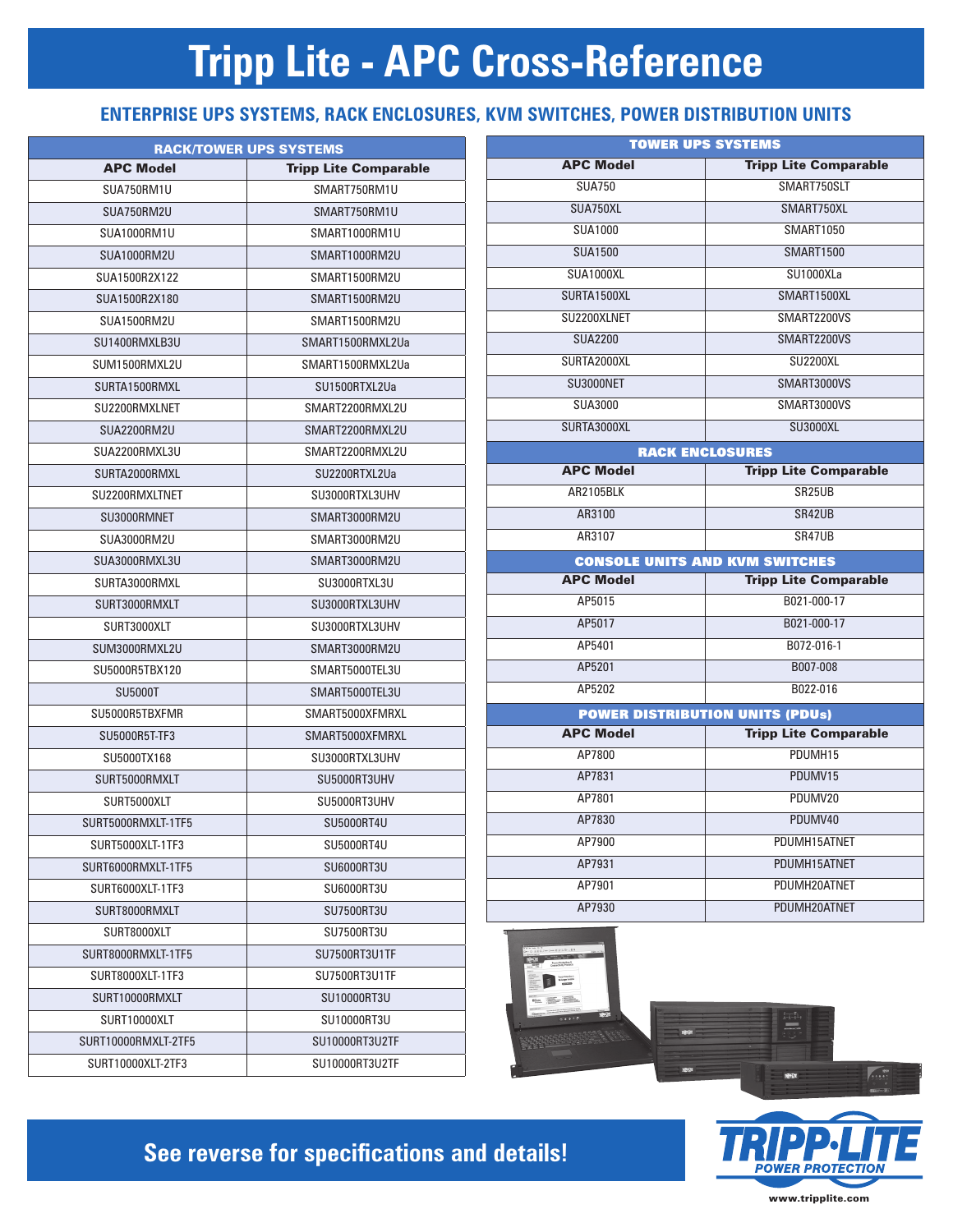# **Tripp Lite - APC Cross-Reference**

#### **ENTERPRISE UPS SYSTEMS, RACK ENCLOSURES, KVM SWITCHES, POWER DISTRIBUTION UNITS**

| <b>RACK/TOWER UPS SYSTEMS</b> |                              |  |  |  |  |
|-------------------------------|------------------------------|--|--|--|--|
| <b>APC Model</b>              | <b>Tripp Lite Comparable</b> |  |  |  |  |
| SUA750RM1U                    | SMART750RM1U                 |  |  |  |  |
| SUA750RM2U                    | SMART750RM1U                 |  |  |  |  |
| SUA1000RM1U                   | SMART1000RM1U                |  |  |  |  |
| SUA1000RM2U                   | SMART1000RM2U                |  |  |  |  |
| SUA1500R2X122                 | SMART1500RM2U                |  |  |  |  |
| SUA1500R2X180                 | SMART1500RM2U                |  |  |  |  |
| SUA1500RM2U                   | SMART1500RM2U                |  |  |  |  |
| SU1400RMXLB3U                 | SMART1500RMXL2Ua             |  |  |  |  |
| SUM1500RMXL2U                 | SMART1500RMXL2Ua             |  |  |  |  |
| SURTA1500RMXL                 | SU1500RTXL2Ua                |  |  |  |  |
| SU2200RMXLNET                 | SMART2200RMXL2U              |  |  |  |  |
| SUA2200RM2U                   | SMART2200RMXL2U              |  |  |  |  |
| SUA2200RMXL3U                 | SMART2200RMXL2U              |  |  |  |  |
| SURTA2000RMXL                 | SU2200RTXL2Ua                |  |  |  |  |
| SU2200RMXLTNET                | SU3000RTXL3UHV               |  |  |  |  |
| SU3000RMNET                   | SMART3000RM2U                |  |  |  |  |
| SUA3000RM2U                   | SMART3000RM2U                |  |  |  |  |
| SUA3000RMXL3U                 | SMART3000RM2U                |  |  |  |  |
| SURTA3000RMXL                 | SU3000RTXL3U                 |  |  |  |  |
| SURT3000RMXLT                 | SU3000RTXL3UHV               |  |  |  |  |
| SURT3000XLT                   | SU3000RTXL3UHV               |  |  |  |  |
| SUM3000RMXL2U                 | SMART3000RM2U                |  |  |  |  |
| SU5000R5TBX120                | SMART5000TEL3U               |  |  |  |  |
| <b>SU5000T</b>                | SMART5000TEL3U               |  |  |  |  |
| SU5000R5TBXFMR                | SMART5000XFMRXL              |  |  |  |  |
| <b>SU5000R5T-TF3</b>          | SMART5000XFMRXL              |  |  |  |  |
| SU5000TX168                   | SU3000RTXL3UHV               |  |  |  |  |
| SURT5000RMXLT                 | SU5000RT3UHV                 |  |  |  |  |
| SURT5000XLT                   | SU5000RT3UHV                 |  |  |  |  |
| SURT5000RMXLT-1TF5            | <b>SU5000RT4U</b>            |  |  |  |  |
| SURT5000XLT-1TF3              | SU5000RT4U                   |  |  |  |  |
| SURT6000RMXLT-1TF5            | SU6000RT3U                   |  |  |  |  |
| SURT6000XLT-1TF3              | SU6000RT3U                   |  |  |  |  |
| SURT8000RMXLT                 | <b>SU7500RT3U</b>            |  |  |  |  |
| SURT8000XLT                   | <b>SU7500RT3U</b>            |  |  |  |  |
| SURT8000RMXLT-1TF5            | SU7500RT3U1TF                |  |  |  |  |
| SURT8000XLT-1TF3              | SU7500RT3U1TF                |  |  |  |  |
| SURT10000RMXLT                | <b>SU10000RT3U</b>           |  |  |  |  |
| SURT10000XLT                  | SU10000RT3U                  |  |  |  |  |
| SURT10000RMXLT-2TF5           | SU10000RT3U2TF               |  |  |  |  |
| SURT10000XLT-2TF3             | SU10000RT3U2TF               |  |  |  |  |

| <b>TOWER UPS SYSTEMS</b>               |                              |  |  |  |
|----------------------------------------|------------------------------|--|--|--|
| <b>APC Model</b>                       | <b>Tripp Lite Comparable</b> |  |  |  |
| <b>SUA750</b>                          | SMART750SLT                  |  |  |  |
| SUA750XL                               | SMART750XL                   |  |  |  |
| <b>SUA1000</b>                         | <b>SMART1050</b>             |  |  |  |
| <b>SUA1500</b>                         | <b>SMART1500</b>             |  |  |  |
| SUA1000XL                              | SU1000XLa                    |  |  |  |
| SURTA1500XL                            | SMART1500XL                  |  |  |  |
| SU2200XLNET                            | SMART2200VS                  |  |  |  |
| <b>SUA2200</b>                         | SMART2200VS                  |  |  |  |
| SURTA2000XL                            | <b>SU2200XL</b>              |  |  |  |
| SU3000NET                              | SMART3000VS                  |  |  |  |
| <b>SUA3000</b>                         | SMART3000VS                  |  |  |  |
| SURTA3000XL                            | <b>SU3000XL</b>              |  |  |  |
| <b>RACK ENCLOSURES</b>                 |                              |  |  |  |
| <b>APC Model</b>                       | <b>Tripp Lite Comparable</b> |  |  |  |
| AR2105BIK                              | SR25UB                       |  |  |  |
| AR3100                                 | SR42UB                       |  |  |  |
| AR3107                                 | SR47UB                       |  |  |  |
| <b>CONSOLE UNITS AND KVM SWITCHES</b>  |                              |  |  |  |
| <b>APC Model</b>                       | <b>Tripp Lite Comparable</b> |  |  |  |
| AP5015                                 | B021-000-17                  |  |  |  |
| AP5017                                 | B021-000-17                  |  |  |  |
| AP5401                                 | B072-016-1                   |  |  |  |
| AP5201                                 | B007-008                     |  |  |  |
| AP5202                                 | B022-016                     |  |  |  |
| <b>POWER DISTRIBUTION UNITS (PDUs)</b> |                              |  |  |  |
| <b>APC Model</b>                       | <b>Tripp Lite Comparable</b> |  |  |  |
| AP7800                                 | PDUMH15                      |  |  |  |
| AP7831                                 | PDUMV15                      |  |  |  |
| AP7801                                 | PDUMV20                      |  |  |  |
| AP7830                                 | PDUMV40                      |  |  |  |
| AP7900                                 | PDUMH15ATNET                 |  |  |  |
| AP7931                                 | PDUMH15ATNET                 |  |  |  |
| AP7901                                 | PDUMH20ATNET                 |  |  |  |
| AP7930                                 | PDUMH20ATNET                 |  |  |  |





**See reverse for specifications and details!** 

www.tripplite.com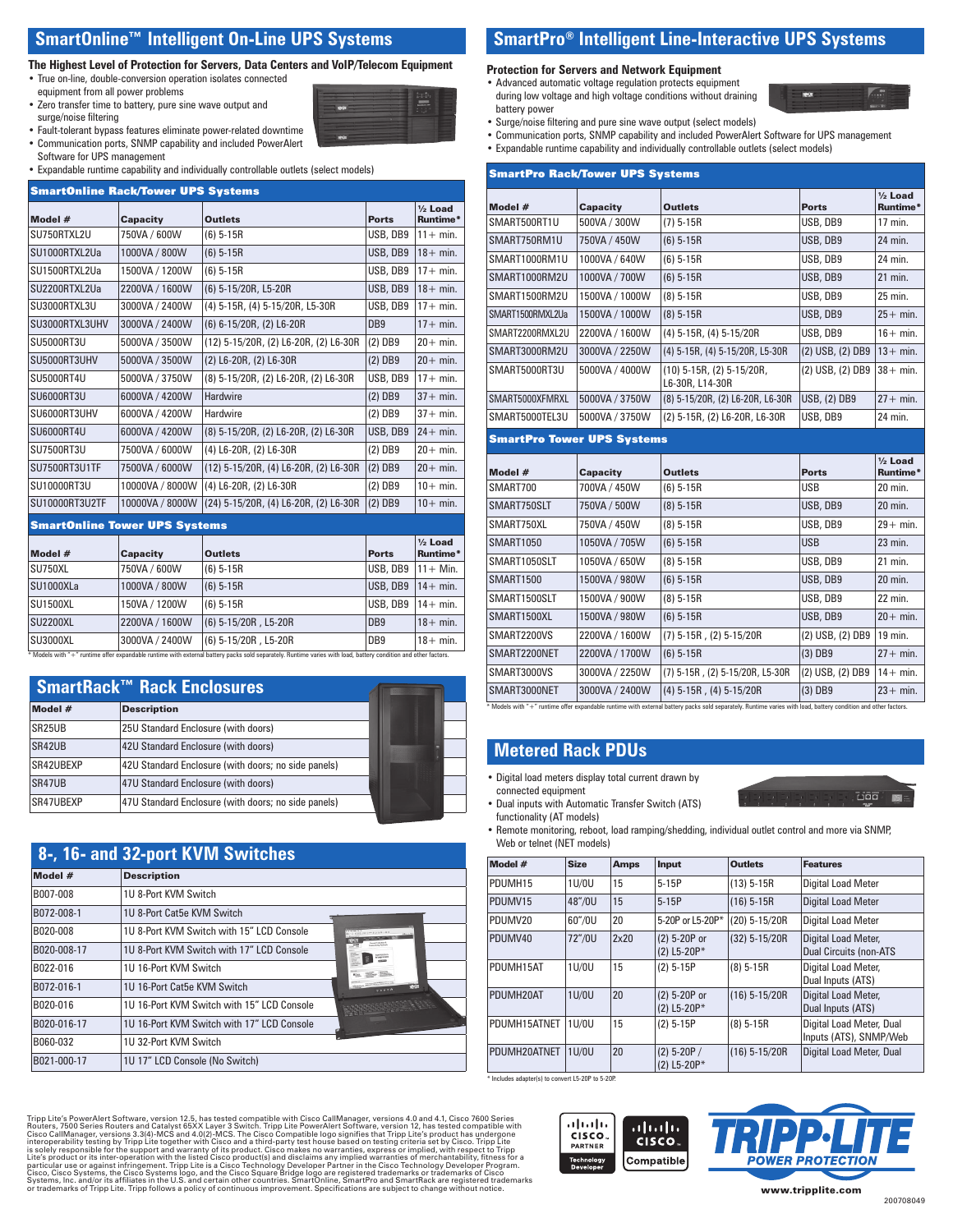#### **SmartOnline™ Intelligent On-Line UPS Systems**

#### **The Highest Level of Protection for Servers, Data Centers and VoIP/Telecom Equipment**

- True on-line, double-conversion operation isolates connected equipment from all power problems
- Zero transfer time to battery, pure sine wave output and surge/noise filtering
- Fault-tolerant bypass features eliminate power-related downtime
- Communication ports, SNMP capability and included PowerAlert
- Software for UPS management
- Expandable runtime capability and individually controllable outlets (select models)

| <b>SmartOnline Rack/Tower UPS Systems</b> |                                      |                                       |                 |                                |  |  |
|-------------------------------------------|--------------------------------------|---------------------------------------|-----------------|--------------------------------|--|--|
| Model #                                   | <b>Capacity</b>                      | <b>Outlets</b>                        | <b>Ports</b>    | $\frac{1}{2}$ Load<br>Runtime* |  |  |
| SU750RTXL2U                               | 750VA / 600W                         | $(6) 5-15R$                           | USB, DB9        | $11 + min$ .                   |  |  |
| SU1000RTXL2Ua                             | 1000VA / 800W                        | $(6)$ 5-15R                           | USB, DB9        | $18 + min$ .                   |  |  |
| SU1500RTXL2Ua                             | 1500VA / 1200W                       | $(6)$ 5-15R                           | USB, DB9        | $17 + min$ .                   |  |  |
| SU2200RTXL2Ua                             | 2200VA / 1600W                       | (6) 5-15/20R, L5-20R                  | USB, DB9        | $18 + min$ .                   |  |  |
| SU3000RTXL3U                              | 3000VA / 2400W                       | (4) 5-15R, (4) 5-15/20R, L5-30R       | USB, DB9        | $17 + min$ .                   |  |  |
| SU3000RTXL3UHV                            | 3000VA / 2400W                       | (6) 6-15/20R, (2) L6-20R              | DB <sub>9</sub> | $17 + min$ .                   |  |  |
| <b>SU5000RT3U</b>                         | 5000VA / 3500W                       | (12) 5-15/20R, (2) L6-20R, (2) L6-30R | $(2)$ DB9       | $20 + min$ .                   |  |  |
| SU5000RT3UHV                              | 5000VA / 3500W                       | (2) L6-20R, (2) L6-30R                | $(2)$ DB9       | $20+ min.$                     |  |  |
| <b>SU5000RT4U</b>                         | 5000VA / 3750W                       | (8) 5-15/20R, (2) L6-20R, (2) L6-30R  | USB, DB9        | $17 + min$ .                   |  |  |
| <b>SU6000RT3U</b>                         | 6000VA / 4200W                       | <b>Hardwire</b>                       | $(2)$ DB9       | $37 + min$ .                   |  |  |
| SU6000RT3UHV                              | 6000VA / 4200W                       | Hardwire                              | $(2)$ DB9       | $37 + min$ .                   |  |  |
| <b>SU6000RT4U</b>                         | 6000VA / 4200W                       | (8) 5-15/20R, (2) L6-20R, (2) L6-30R  | USB, DB9        | $24 + min.$                    |  |  |
| <b>SU7500RT3U</b>                         | 7500VA / 6000W                       | (4) L6-20R, (2) L6-30R                | (2) DB9         | $20 + min$ .                   |  |  |
| <b>SU7500RT3U1TF</b>                      | 7500VA / 6000W                       | (12) 5-15/20R, (4) L6-20R, (2) L6-30R | $(2)$ DB9       | $20+ min.$                     |  |  |
| <b>SU10000RT3U</b>                        | 10000VA / 8000W                      | (4) L6-20R, (2) L6-30R                | $(2)$ DB9       | $10+$ min.                     |  |  |
| <b>SU10000RT3U2TF</b>                     | 10000VA / 8000W                      | (24) 5-15/20R, (4) L6-20R, (2) L6-30R | $(2)$ DB9       | $10+$ min.                     |  |  |
|                                           | <b>SmartOnline Tower UPS Systems</b> |                                       |                 |                                |  |  |
| Model #                                   | <b>Capacity</b>                      | <b>Outlets</b>                        | <b>Ports</b>    | $1/2$ Load<br>Runtime*         |  |  |
| SU750XL                                   | 750VA / 600W                         | $(6)$ 5-15R                           | USB, DB9        | $11 +$ Min.                    |  |  |
| SU1000XLa                                 | 1000VA / 800W                        | $(6)$ 5-15R                           | USB, DB9        | $14 + min$ .                   |  |  |
| <b>SU1500XL</b>                           | 150VA / 1200W                        | $(6)$ 5-15R                           | USB. DB9        | $14 + min$ .                   |  |  |
| <b>SU2200XL</b>                           | 2200VA / 1600W                       | (6) 5-15/20R, L5-20R                  | DB <sub>9</sub> | $18 + min$ .                   |  |  |
| <b>SU3000XL</b>                           | 3000VA / 2400W                       | (6) 5-15/20R, L5-20R                  | DB <sub>9</sub> | $18 + min$ .                   |  |  |

|                     | <b>SmartRack™ Rack Enclosures</b>                   |  |
|---------------------|-----------------------------------------------------|--|
| Model #             | <b>Description</b>                                  |  |
| SR <sub>25</sub> UB | 25U Standard Enclosure (with doors)                 |  |
| SR42UB              | 42U Standard Enclosure (with doors)                 |  |
| SR42UBEXP           | 42U Standard Enclosure (with doors; no side panels) |  |
| SR47UB              | 47U Standard Enclosure (with doors)                 |  |
| SR47UBEXP           | 47U Standard Enclosure (with doors; no side panels) |  |

|             | 8-, 16- and 32-port KVM Switches           |                                         |
|-------------|--------------------------------------------|-----------------------------------------|
| Model #     | <b>Description</b>                         |                                         |
| B007-008    | 1U 8-Port KVM Switch                       |                                         |
| B072-008-1  | 1U 8-Port Cat5e KVM Switch                 |                                         |
| B020-008    | 1U 8-Port KVM Switch with 15" LCD Console  |                                         |
| B020-008-17 | 1U 8-Port KVM Switch with 17" LCD Console  | <b>Accept Initial</b><br><b>COMPANY</b> |
| B022-016    | 1U 16-Port KVM Switch                      |                                         |
| B072-016-1  | 1U 16-Port Cat5e KVM Switch                | <b>REST</b>                             |
| B020-016    | 1U 16-Port KVM Switch with 15" LCD Console |                                         |
| B020-016-17 | 1U 16-Port KVM Switch with 17" LCD Console |                                         |
| B060-032    | 1U 32-Port KVM Switch                      |                                         |
| B021-000-17 | 1U 17" LCD Console (No Switch)             |                                         |

**Protection for Servers and Network Equipment** 

- Advanced automatic voltage regulation protects equipment during low voltage and high voltage conditions without draining battery power
- Surge/noise filtering and pure sine wave output (select models)
- Communication ports, SNMP capability and included PowerAlert Software for UPS management

**SmartPro® Intelligent Line-Interactive UPS Systems** 

• Expandable runtime capability and individually controllable outlets (select models)

| <b>SmartPro Rack/Tower UPS Systems</b> |                 |                                                  |                     |                                |  |
|----------------------------------------|-----------------|--------------------------------------------------|---------------------|--------------------------------|--|
| Model #                                | <b>Capacity</b> | <b>Outlets</b>                                   | <b>Ports</b>        | $\frac{1}{2}$ Load<br>Runtime* |  |
| SMART500RT1U                           | 500VA / 300W    | $(7) 5-15R$                                      | USB, DB9            | 17 min.                        |  |
| SMART750RM1U                           | 750VA / 450W    | $(6)$ 5-15R                                      | USB, DB9            | 24 min.                        |  |
| SMART1000RM1U                          | 1000VA / 640W   | $(6)$ 5-15R                                      | USB, DB9            | 24 min.                        |  |
| SMART1000RM2U                          | 1000VA / 700W   | $(6)$ 5-15R                                      | USB, DB9            | 21 min.                        |  |
| SMART1500RM2U                          | 1500VA / 1000W  | $(8)$ 5-15R                                      | USB, DB9            | 25 min.                        |  |
| SMART1500RMXL2Ua                       | 1500VA / 1000W  | $(8)$ 5-15R                                      | USB, DB9            | $25 + min$ .                   |  |
| SMART2200RMXL2U                        | 2200VA / 1600W  | (4) 5-15R, (4) 5-15/20R                          | USB, DB9            | $16 + min$ .                   |  |
| SMART3000RM2U                          | 3000VA / 2250W  | (4) 5-15R, (4) 5-15/20R, L5-30R                  | (2) USB, (2) DB9    | $13+$ min.                     |  |
| SMART5000RT3U                          | 5000VA / 4000W  | $(10)$ 5-15R, $(2)$ 5-15/20R,<br>L6-30R, L14-30R | (2) USB, (2) DB9    | $38 + min$ .                   |  |
| SMART5000XFMRXL                        | 5000VA / 3750W  | (8) 5-15/20R, (2) L6-20R, L6-30R                 | <b>USB, (2) DB9</b> | $27 + min$ .                   |  |
| SMART5000TEL3U                         | 5000VA / 3750W  | (2) 5-15R, (2) L6-20R, L6-30R                    | USB, DB9            | 24 min.                        |  |
| <b>SmartPro Tower UPS Systems</b>      |                 |                                                  |                     |                                |  |
|                                        |                 |                                                  |                     |                                |  |
| Model #                                | <b>Capacity</b> | <b>Outlets</b>                                   | <b>Ports</b>        | $1/2$ Load<br>Runtime*         |  |
| SMART700                               | 700VA / 450W    | $(6)$ 5-15R                                      | <b>USB</b>          | 20 min.                        |  |
| SMART750SLT                            | 750VA / 500W    | $(8)$ 5-15R                                      | USB, DB9            | 20 min.                        |  |
| SMART750XL                             | 750VA / 450W    | $(8)$ 5-15R                                      | USB, DB9            | $29+$ min.                     |  |
| <b>SMART1050</b>                       | 1050VA / 705W   | $(6)$ 5-15R                                      | <b>USB</b>          | 23 min.                        |  |
| SMART1050SLT                           | 1050VA / 650W   | $(8)$ 5-15R                                      | USB, DB9            | 21 min.                        |  |
| <b>SMART1500</b>                       | 1500VA / 980W   | $(6) 5-15R$                                      | USB, DB9            | 20 min.                        |  |
| SMART1500SLT                           | 1500VA / 900W   | $(8)$ 5-15R                                      | USB, DB9            | 22 min.                        |  |
| SMART1500XL                            | 1500VA / 980W   | $(6)$ 5-15R                                      | USB, DB9            | $20 + min$ .                   |  |
| SMART2200VS                            | 2200VA / 1600W  | $(7)$ 5-15R, $(2)$ 5-15/20R                      | (2) USB, (2) DB9    | 19 min.                        |  |
| SMART2200NET                           | 2200VA / 1700W  | $(6)$ 5-15R                                      | $(3)$ DB9           | $27 + min$ .                   |  |
| SMART3000VS                            | 3000VA / 2250W  | (7) 5-15R, (2) 5-15/20R, L5-30R                  | (2) USB, (2) DB9    | $14 + min$ .                   |  |

lels with "+" runtime offer expandable runtime with external battery packs sold separately. Runtime varies with load, battery condition and other factors

#### **Metered Rack PDUs**

• Digital load meters display total current drawn by connected equipment



- Dual inputs with Automatic Transfer Switch (ATS) functionality (AT models)
- Remote monitoring, reboot, load ramping/shedding, individual outlet control and more via SNMP, Web or telnet (NET models)

| Model #      | <b>Size</b> | <b>Amps</b> | <b>Input</b>                   | <b>Outlets</b>  | <b>Features</b>                                      |
|--------------|-------------|-------------|--------------------------------|-----------------|------------------------------------------------------|
| PDUMH15      | 1U/0U       | 15          | $5-15P$                        | $(13)$ 5-15R    | <b>Digital Load Meter</b>                            |
| PDUMV15      | 48"/0U      | 15          | $5-15P$                        | $(16)$ 5-15R    | <b>Digital Load Meter</b>                            |
| PDUMV20      | 60"/0U      | 20          | 5-20P or L5-20P*               | (20) 5-15/20R   | <b>Digital Load Meter</b>                            |
| PDUMV40      | 72"/0U      | 2x20        | (2) 5-20P or<br>(2) L5-20P*    | $(32)$ 5-15/20R | Digital Load Meter,<br><b>Dual Circuits (non-ATS</b> |
| PDUMH15AT    | 1U/0U       | 15          | $(2)$ 5-15P                    | $(8)$ 5-15R     | Digital Load Meter,<br>Dual Inputs (ATS)             |
| PDUMH20AT    | 1U/0U       | 20          | (2) 5-20P or<br>$(2) L5-20P*$  | $(16)$ 5-15/20R | Digital Load Meter,<br>Dual Inputs (ATS)             |
| PDUMH15ATNET | 1U/0U       | 15          | $(2)$ 5-15P                    | $(8)$ 5-15R     | Digital Load Meter, Dual<br>Inputs (ATS), SNMP/Web   |
| PDUMH20ATNET | 1U/0U       | 20          | $(2)$ 5-20P /<br>$(2) L5-20P*$ | $(16)$ 5-15/20R | Digital Load Meter, Dual                             |

\* Includes adapter(s) to convert L5-20P to 5-20P.

بالبيان

CISCO.

Tripp Lite's PowerAlert Software, version 12.5, has tested compatible with Cisco CallManager, version 12, has 4.1, Cisco 7600 Series<br>Routers, 7500 Series Routers and Catalyst 65XX Layer 3 Switch. Tripp Lite PowerAlert Soft or trademarks of Tripp Lite. Tripp follows a policy of continuous improvement. Specifi cations are subject to change without notice.